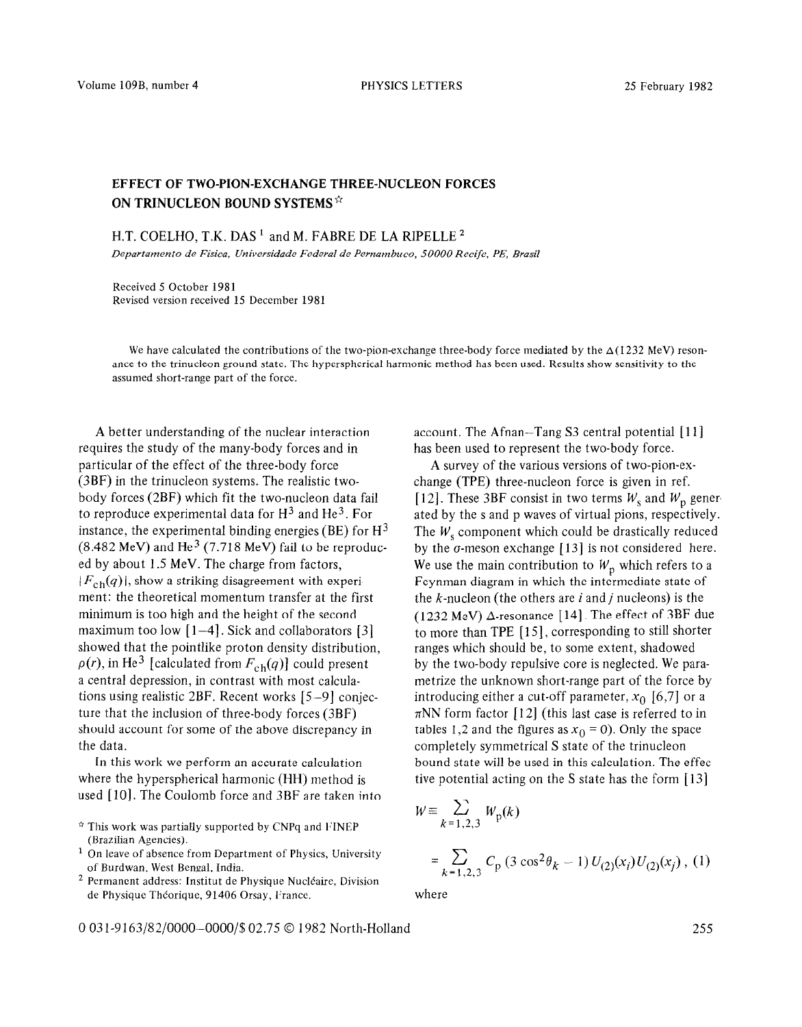## EFFECT OF TWO-PION-EXCHANGE THREE-NUCLEON FORCES ON TRINUCLEON BOUND SYSTEMS<sup>\*</sup>

## H.T. COELHO, T.K. DAS<sup>1</sup> and M. FABRE DE LA RIPELLE<sup>2</sup>

*Departamento de Fisica, Universidade Federal de Pernambuco, 50000 Recife, PE, Brasil* 

Received 5 October 1981 Revised version received 15 December 1981

We have calculated the contributions of the two-pion-exchange three-body force mediated by the  $\Delta(1232 \text{ MeV})$  resonance to the trinucleon ground state. The hyperspherical harmonic method has been used. Results show sensitivity to the assumed short-range part of the force.

A better understanding of the nuclear interaction requires the study of the many-body forces and in particular of the effect of the three-body force (3BF) in the trinucleon systems. The realistic twobody forces (2BF) which fit the two-nucleon data fail to reproduce experimental data for  $H^3$  and  $He^3$ . For instance, the experimental binding energies (BE) for  $H^3$  $(8.482 \text{ MeV})$  and He<sup>3</sup> (7.718 MeV) fail to be reproduced by about 1.5 MeV. The charge from factors,  $|F_{\text{ch}}(q)|$ , show a striking disagreement with experiment: the theoretical momentum transfer at the first minimum is too high and the height of the second maximum too low  $[1-4]$ . Sick and collaborators  $[3]$ showed that the pointlike proton density distribution,  $\rho(r)$ , in He<sup>3</sup> [calculated from  $F<sub>ch</sub>(q)$ ] could present a central depression, in contrast with most calculations using realistic 2BF. Recent works  $[5-9]$  conjecture that the inclusion of three-body forces (3BF) should account for some of the above discrepancy in the data.

In this work we perform an accurate calculation where the hyperspherical harmonic (HH) method is used [lo]. The Coulomb force and 3BF are taken into account. The Afnan-Tang S3 central potential [11] has been used to represent the two-body force.

A survey of the various versions of two-pion-exchange (TPE) three-nucleon force is given in ref. [12]. These 3BF consist in two terms  $W_s$  and  $W_p$  generated by the s and p waves of virtual pions, respectively. The  $W_s$  component which could be drastically reduced by the  $\sigma$ -meson exchange  $[13]$  is not considered here. We use the main contribution to  $W_p$  which refers to a Feynman diagram in which the intermediate state of the k-nucleon (the others are *i* and j nucleons) is the (1232 MeV)  $\triangle$ -resonance [14]. The effect of 3BF due to more than TPE [ 151, corresponding to still shorter ranges which should be, to some extent, shadowed by the two-body repulsive core is neglected. We parametrize the unknown short-range part of the force by introducing either a cut-off parameter,  $x_0$  [6,7] or a  $\pi$ NN form factor [12] (this last case is referred to in tables 1,2 and the figures as  $x_0 = 0$ ). Only the space completely symmetrical S state of the trinucleon bound state will be used in this calculation. The effective potential acting on the S state has the form [13]

$$
W \equiv \sum_{k=1,2,3} W_{p}(k)
$$
  
=  $\sum_{k=1,2,3} C_{p} (3 \cos^{2} \theta_{k} - 1) U_{(2)}(x_{i}) U_{(2)}(x_{j}), (1)$ 

where

0 031-9163/82/0000-0000/\$ 02.75 © 1982 North-Holland 255

<sup>\*</sup> This work was partially supported by CNPq and I:INEP (Brazilian Agencies).

 $1$  On leave of absence from Department of Physics, University of Burdwan, West Bengal, India.

<sup>&</sup>lt;sup>2</sup> Permanent address: Institut de Physique Nucléaire, Division de Physique Théorique, 91406 Orsay, France.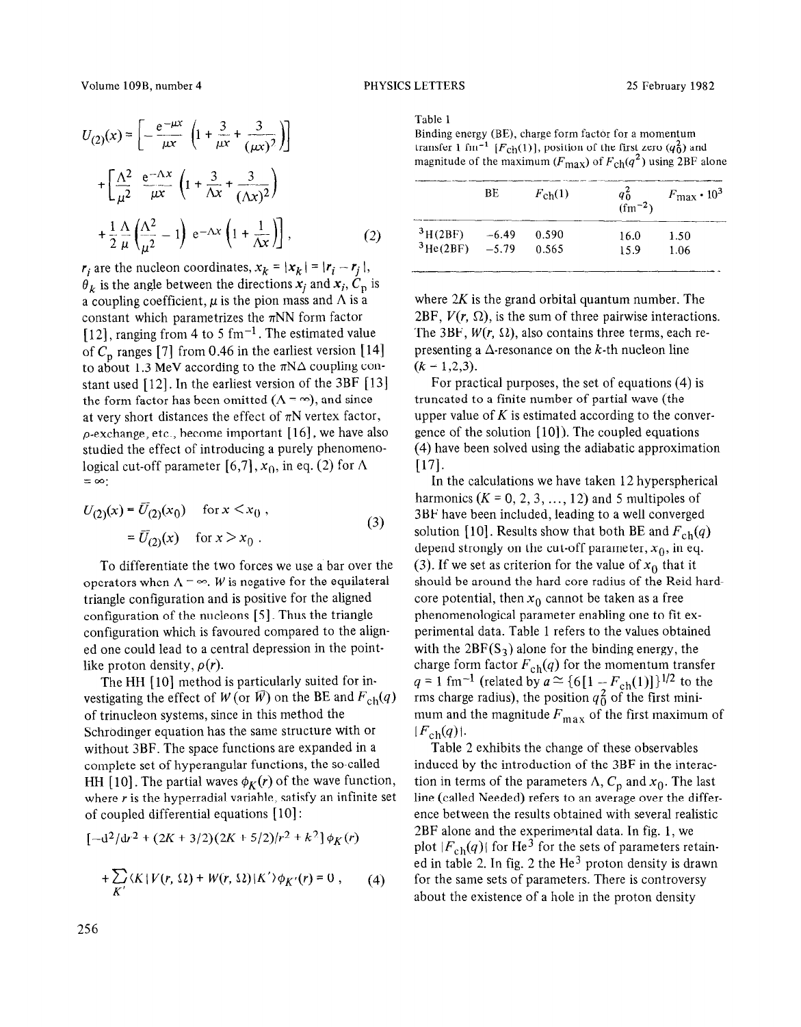Volume 109B, number 4 PHYSICS LETTERS

$$
U_{(2)}(x) = \left[ -\frac{e^{-\mu x}}{\mu x} \left( 1 + \frac{3}{\mu x} + \frac{3}{(\mu x)^2} \right) \right]
$$
  
+ 
$$
\left[ \frac{\Lambda^2}{\mu^2} \frac{e^{-\Lambda x}}{\mu x} \left( 1 + \frac{3}{\Lambda x} + \frac{3}{(\Lambda x)^2} \right) \right]
$$
  
+ 
$$
\frac{1}{2} \frac{\Lambda}{\mu} \left( \frac{\Lambda^2}{\mu^2} - 1 \right) e^{-\Lambda x} \left( 1 + \frac{1}{\Lambda x} \right) ,
$$
 (2)

 $r_i$  are the nucleon coordinates,  $x_k = |x_k| = |r_i - r_j|$ ,  $\theta_k$  is the angle between the directions  $x_i$  and  $x_i$ ,  $C_p$  is a coupling coefficient,  $\mu$  is the pion mass and  $\Lambda$  is a constant which parametrizes the  $\pi NN$  form factor  $[12]$ , ranging from 4 to 5  $\text{fm}^{-1}$ . The estimated value of  $C_p$  ranges [7] from 0.46 in the earliest version [14] to about 1.3 MeV according to the  $\pi N\Delta$  coupling constant used  $[12]$ . In the earliest version of the 3BF  $[13]$ the form factor has been omitted  $(\Lambda = \infty)$ , and since at very short distances the effect of  $\pi N$  vertex factor, p-exchange, etc., become important [ 161, *we* have also studied the effect of introducing a purely phenomenological cut-off parameter [6,7],  $x_0$ , in eq. (2) for  $\Lambda$  $=\infty$ :

$$
U_{(2)}(x) = \overline{U}_{(2)}(x_0) \quad \text{for } x < x_0 ,
$$
\n
$$
= \overline{U}_{(2)}(x) \quad \text{for } x > x_0 .
$$
\n
$$
\tag{3}
$$

To differentiate the two forces we use a bar over the operators when  $\Lambda = \infty$ . W is negative for the equilateral triangle configuration and is positive for the aligned configuration of the nucleons [5]. Thus the triangle configuration which is favoured compared to the aligned one could lead to a central depression in the pointlike proton density,  $\rho(r)$ .

The HH [lo] method is particularly suited for investigating the effect of  $W$  (or  $W$ ) on the BE and  $F_{ch}(q)$ of trinucleon systems, since in this method the Schrodinger equation has the same structure with or without 3BF. The space functions are expanded in a complete set of hyperangular functions, the so-called HH [10]. The partial waves  $\phi_K(r)$  of the wave function, where *r* is the hyperradial variable, satisfy an infinite set of coupled differential equations *[IO] :* 

$$
[-d^{2}/dr^{2} + (2K + 3/2)(2K + 5/2)/r^{2} + k^{2}] \phi_{K}(r)
$$
  
+ 
$$
\sum_{K'} \langle K|V(r, \Omega) + W(r, \Omega)|K'\rangle \phi_{K'}(r) = 0 , \qquad (4)
$$

 $Table 1$ 

Binding energy (BE), charge form factor for a momentum transfer 1 fm<sup>-1</sup> [ $F<sub>ch</sub>(1)$ ], position of the first zero ( $q<sub>0</sub><sup>2</sup>$ ) and magnitude of the maximum ( $F_{\text{max}}$ ) of  $F_{\text{ch}}(q^2)$  using 2BF alone

| Provide and control designations and | BE      | $F_{\rm ch}(1)$ | qő<br>$(fm^{-2})$ | $F_{\text{max}} \cdot 10^3$ |
|--------------------------------------|---------|-----------------|-------------------|-----------------------------|
| 3H(2BF)                              | $-6.49$ | 0.590           | 16.0              | 1.50                        |
| $3\text{He}(2BF)$                    | $-5.79$ | 0.565           | 15.9              | 1.06                        |

where  $2K$  is the grand orbital quantum number. The 2BF,  $V(r, \Omega)$ , is the sum of three pairwise interactions. The 3BF,  $W(r, \Omega)$ , also contains three terms, each representing a  $\Delta$ -resonance on the k-th nucleon line  $(k = 1,2,3)$ .

For practical purposes, the set of equations (4) is truncated to a finite number of partial wave (the upper value of  $K$  is estimated according to the convergence of the solution  $[10]$ ). The coupled equations (4) have been solved using the adiabatic approximation [171.

In the calculations we have taken 12 hyperspherical harmonics  $(K = 0, 2, 3, \ldots, 12)$  and 5 multipoles of 3BF have been included, leading to a well converged solution [10]. Results show that both BE and  $F_{ch}(q)$ depend strongly on the cut-off parameter,  $x_0$ , in eq. (3). If we set as criterion for the value of  $x_0$  that it should be around the hard-core radius of the Reid hardcore potential, then  $x_0$  cannot be taken as a free phenomenological parameter enabling one to fit experimental data. Table 1 refers to the values obtained with the  $2BF(S_3)$  alone for the binding energy, the charge form factor  $F_{\text{ch}}(q)$  for the momentum transfer  $q = 1$  fm<sup>-1</sup> (related by  $a \approx \{6[1 - F_{\rm ch}(1)]\}^{1/2}$  to the rms charge radius), the position  $q_0^2$  of the first minimum and the magnitude  $F_{\text{max}}$  of the first maximum of  $|F_{\text{ch}}(q)|.$ 

 $t+\sum K|V(r, \Omega)+W(r, \Omega)|K'\rangle\phi_{K'}(r)=0$ , (4) for the same sets of parameters. There is controvers Table 2 exhibits the change of these observables induced by the introduction of the 3BF in the interaction in terms of the parameters  $\Lambda$ ,  $C_p$  and  $x_0$ . The last line (called Needed) refers to an average over the difference between the results obtained with several realistic 2BF alone and the experimental data. In fig. 1, we plot  $|F_{ch}(q)|$  for He<sup>3</sup> for the sets of parameters retained in table 2. In fig. 2 the He<sup>3</sup> proton density is drawn about the existence of a hole in the proton density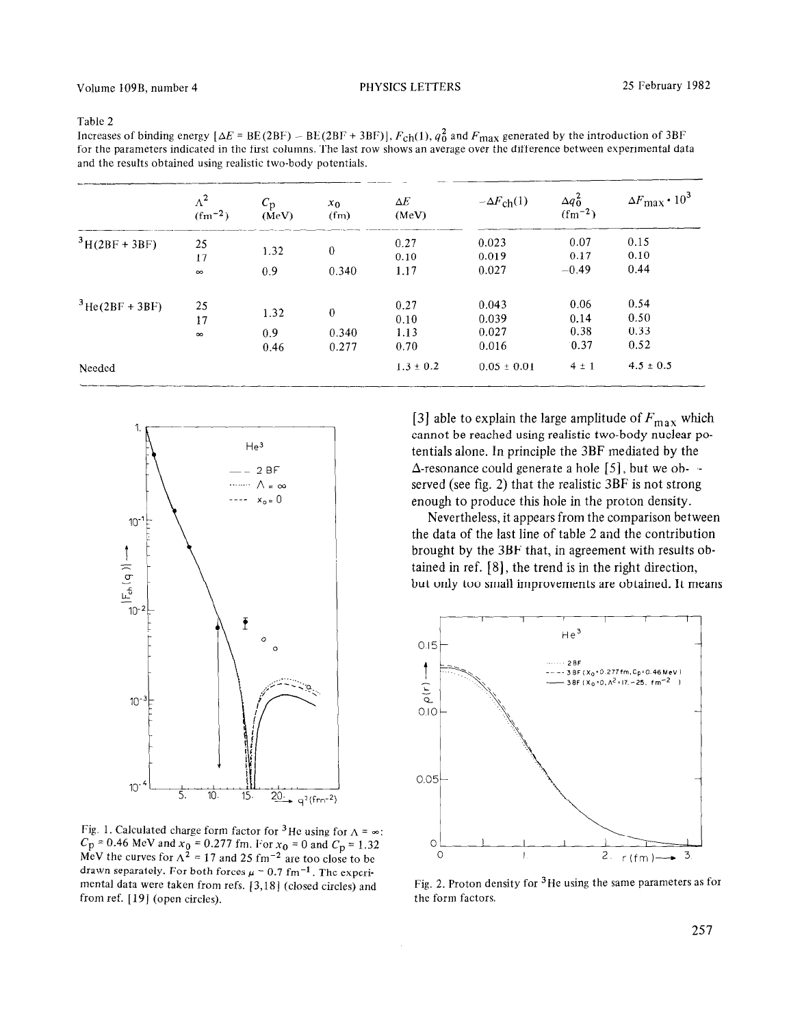## Table 2

Increases of binding energy  $[\Delta E = BE(2BF) - BE(2BF + 3BF)], F_{ch}(1), q_0^2$  and  $F_{max}$  generated by the introduction of 3BF for the parameters indicated in the first columns. The last row shows an average over the difference between experimental data and the results obtained using realistic two-body potentials.

|                         | $\Lambda^2$<br>$(fm^{-2})$ | $C_{\rm p}$<br>(MeV) | $x_0$<br>(fm) | $\Delta E$<br>(MeV) | $-\Delta F_{\rm ch}(1)$ | $\Delta q_0^2$<br>$(fm^{-2})$ | $\Delta F_{\rm max} \cdot 10^3$ |
|-------------------------|----------------------------|----------------------|---------------|---------------------|-------------------------|-------------------------------|---------------------------------|
| ${}^{3}H(2BF + 3BF)$    | 25                         | 1.32                 | $\theta$      | 0.27                | 0.023                   | 0.07<br>0.17                  | 0.15<br>0.10                    |
|                         | 17<br>$\infty$             | 0.9                  | 0.340         | 0.10<br>1.17        | 0.019<br>0.027          | $-0.49$                       | 0.44                            |
| $3\text{He}(2BF + 3BF)$ | 25                         | 1.32                 | $\mathbf{0}$  | 0.27                | 0.043                   | 0.06                          | 0.54                            |
|                         | 17                         |                      |               | 0.10                | 0.039                   | 0.14                          | 0.50                            |
|                         | $\infty$                   | 0.9                  | 0.340         | 1.13                | 0.027                   | 0.38                          | 0.33                            |
|                         |                            | 0.46                 | 0.277         | 0.70                | 0.016                   | 0.37                          | 0.52                            |
| Needed                  |                            |                      |               | $1.3 \pm 0.2$       | $0.05 \pm 0.01$         | $4 \pm 1$                     | $4.5 \pm 0.5$                   |



Fig. 1. Calculated charge form factor for <sup>3</sup>He using for  $\Lambda = \infty$ :  $C_{\rm p}$  = 0.46 MeV and  $x_0$  = 0.277 fm. For  $x_0$  = 0 and  $C_{\rm p}$  = 1.32 MeV the curves for  $\Lambda^2$  = 17 and 25 fm<sup>-2</sup> are too close to be drawn separately. For both forces  $\mu = 0.7$  fm<sup>-1</sup>. The experimental data were taken from refs. (3,181 (closed circles) and from ref. [19] (open circles).

<sup>1</sup>  $[3]$  able to explain the large amplitude of  $F_{\text{max}}$  which<br>cannot be reached using realistic two-body nuclear po-<br>to the large amplitude of  $F_{\text{max}}$  which cannot be reached using realistic two-body nuclear potentials alone. In principle the 3BF mediated by the  $\Delta$ -resonance could generate a hole [5], but we observed (see fig. 2) that the realistic 3BF is not strong enough to produce this hole in the proton density.

> Nevertheless, it appears from the comparison between the data of the last line of table 2 and the contribution brought by the 3BF that, in agreement with results obtained in ref. [S], the trend is in the right direction, but only too small improvements are obtained. It means



Fig. 2. Proton density for 3 He using the same parameters as for the form factors.